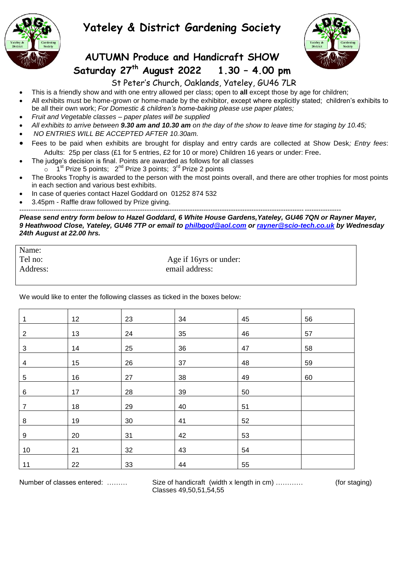

# **Yateley & District Gardening Society**



## **AUTUMN Produce and Handicraft SHOW Saturday 27 th August 2022 1.30 – 4.00 pm**

#### St Peter's Church, Oaklands, Yateley, GU46 7LR

- This is a friendly show and with one entry allowed per class; open to **all** except those by age for children;
- All exhibits must be home-grown or home-made by the exhibitor, except where explicitly stated; children's exhibits to be all their own work; *For Domestic & children's home-baking please use paper plates;*
- *Fruit and Vegetable classes – paper plates will be supplied*
- *All exhibits to arrive between 9.30 am and 10.30 am on the day of the show to leave time for staging by 10.45;*
- *NO ENTRIES WILL BE ACCEPTED AFTER 10.30am.*
- Fees to be paid when exhibits are brought for display and entry cards are collected at Show Desk*; Entry fees*: Adults: 25p per class (£1 for 5 entries, £2 for 10 or more) Children 16 years or under: Free.
- The judge's decision is final. Points are awarded as follows for all classes
	- $\frac{1}{2}$   $\sim$  1<sup>st</sup> Prize 5 points; 2<sup>nd</sup> Prize 3 points; 3<sup>rd</sup> Prize 2 points
- The Brooks Trophy is awarded to the person with the most points overall, and there are other trophies for most points in each section and various best exhibits.
- In case of queries contact Hazel Goddard on 01252 874 532
- 3.45pm Raffle draw followed by Prize giving.

--------------------------------------------------------------------------------------------------------------------------------------------- *Please send entry form below to Hazel Goddard, 6 White House Gardens,Yateley, GU46 7QN or Rayner Mayer, 9 Heathwood Close, Yateley, GU46 7TP or email to [philbgod@aol.com](mailto:philbgod@aol.com) or [rayner@scio-tech.co.uk](mailto:rayner@scio-tech.co.uk) by Wednesday 24th August at 22.00 hrs.*

Name: Tel no: Age if 16yrs or under: Address: email address:

We would like to enter the following classes as ticked in the boxes below*:*

| 1            | 12 | 23 | 34 | 45 | 56 |
|--------------|----|----|----|----|----|
| $\mathbf{2}$ | 13 | 24 | 35 | 46 | 57 |
| 3            | 14 | 25 | 36 | 47 | 58 |
| 4            | 15 | 26 | 37 | 48 | 59 |
| 5            | 16 | 27 | 38 | 49 | 60 |
| 6            | 17 | 28 | 39 | 50 |    |
| 7            | 18 | 29 | 40 | 51 |    |
| 8            | 19 | 30 | 41 | 52 |    |
| 9            | 20 | 31 | 42 | 53 |    |
| $10$         | 21 | 32 | 43 | 54 |    |
| 11           | 22 | 33 | 44 | 55 |    |

Number of classes entered: ……… Size of handicraft (width x length in cm) ………… (for staging) Classes 49,50,51,54,55